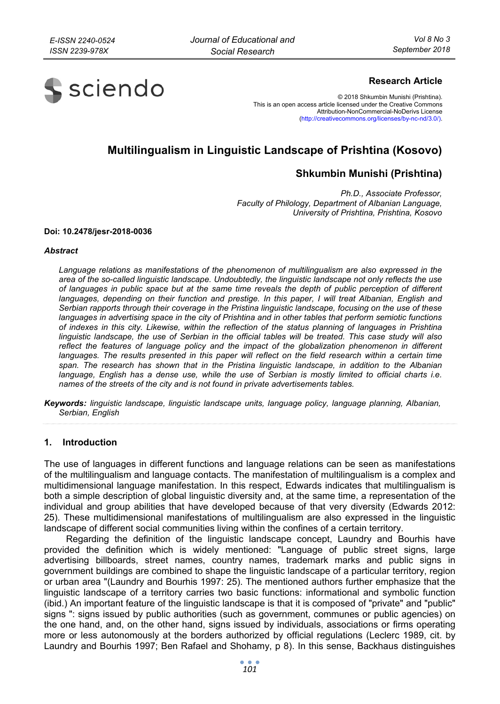

# **Research Article**

© 2018 Shkumbin Munishi (Prishtina). This is an open access article licensed under the Creative Commons Attribution-NonCommercial-NoDerivs License (http://creativecommons.org/licenses/by-nc-nd/3.0/).

# **Multilingualism in Linguistic Landscape of Prishtina (Kosovo)**

# **Shkumbin Munishi (Prishtina)**

*Ph.D., Associate Professor, Faculty of Philology, Department of Albanian Language, University of Prishtina, Prishtina, Kosovo* 

#### **Doi: 10.2478/jesr-2018-0036**

#### *Abstract*

*Language relations as manifestations of the phenomenon of multilingualism are also expressed in the area of the so-called linguistic landscape. Undoubtedly, the linguistic landscape not only reflects the use of languages in public space but at the same time reveals the depth of public perception of different*  languages, depending on their function and prestige. In this paper, I will treat Albanian, English and *Serbian rapports through their coverage in the Pristina linguistic landscape, focusing on the use of these languages in advertising space in the city of Prishtina and in other tables that perform semiotic functions of indexes in this city. Likewise, within the reflection of the status planning of languages in Prishtina linguistic landscape, the use of Serbian in the official tables will be treated. This case study will also reflect the features of language policy and the impact of the globalization phenomenon in different*  languages. The results presented in this paper will reflect on the field research within a certain time *span. The research has shown that in the Pristina linguistic landscape, in addition to the Albanian*  language, English has a dense use, while the use of Serbian is mostly limited to official charts i.e. *names of the streets of the city and is not found in private advertisements tables.* 

*Keywords: linguistic landscape, linguistic landscape units, language policy, language planning, Albanian, Serbian, English* 

#### **1. Introduction**

The use of languages in different functions and language relations can be seen as manifestations of the multilingualism and language contacts. The manifestation of multilingualism is a complex and multidimensional language manifestation. In this respect, Edwards indicates that multilingualism is both a simple description of global linguistic diversity and, at the same time, a representation of the individual and group abilities that have developed because of that very diversity (Edwards 2012: 25). These multidimensional manifestations of multilingualism are also expressed in the linguistic landscape of different social communities living within the confines of a certain territory.

Regarding the definition of the linguistic landscape concept, Laundry and Bourhis have provided the definition which is widely mentioned: "Language of public street signs, large advertising billboards, street names, country names, trademark marks and public signs in government buildings are combined to shape the linguistic landscape of a particular territory, region or urban area "(Laundry and Bourhis 1997: 25). The mentioned authors further emphasize that the linguistic landscape of a territory carries two basic functions: informational and symbolic function (ibid.) An important feature of the linguistic landscape is that it is composed of "private" and "public" signs ": signs issued by public authorities (such as government, communes or public agencies) on the one hand, and, on the other hand, signs issued by individuals, associations or firms operating more or less autonomously at the borders authorized by official regulations (Leclerc 1989, cit. by Laundry and Bourhis 1997; Ben Rafael and Shohamy, p 8). In this sense, Backhaus distinguishes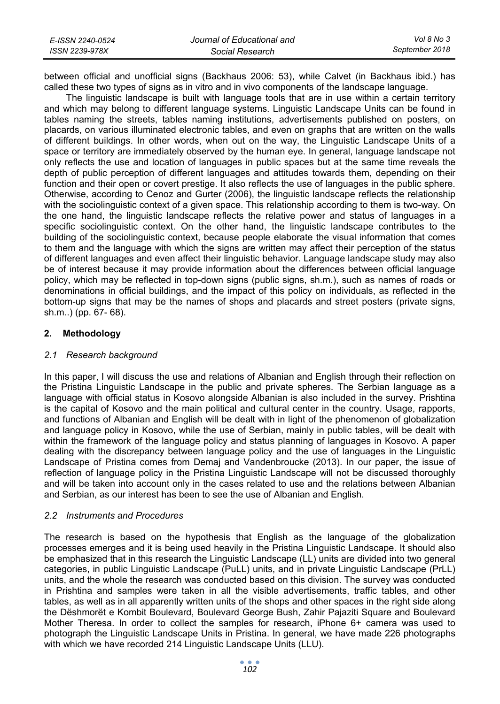| E-ISSN 2240-0524 | Journal of Educational and | Vol 8 No 3     |
|------------------|----------------------------|----------------|
| ISSN 2239-978X   | Social Research            | September 2018 |

between official and unofficial signs (Backhaus 2006: 53), while Calvet (in Backhaus ibid.) has called these two types of signs as in vitro and in vivo components of the landscape language.

The linguistic landscape is built with language tools that are in use within a certain territory and which may belong to different language systems. Linguistic Landscape Units can be found in tables naming the streets, tables naming institutions, advertisements published on posters, on placards, on various illuminated electronic tables, and even on graphs that are written on the walls of different buildings. In other words, when out on the way, the Linguistic Landscape Units of a space or territory are immediately observed by the human eye. In general, language landscape not only reflects the use and location of languages in public spaces but at the same time reveals the depth of public perception of different languages and attitudes towards them, depending on their function and their open or covert prestige. It also reflects the use of languages in the public sphere. Otherwise, according to Cenoz and Gurter (2006), the linguistic landscape reflects the relationship with the sociolinguistic context of a given space. This relationship according to them is two-way. On the one hand, the linguistic landscape reflects the relative power and status of languages in a specific sociolinguistic context. On the other hand, the linguistic landscape contributes to the building of the sociolinguistic context, because people elaborate the visual information that comes to them and the language with which the signs are written may affect their perception of the status of different languages and even affect their linguistic behavior. Language landscape study may also be of interest because it may provide information about the differences between official language policy, which may be reflected in top-down signs (public signs, sh.m.), such as names of roads or denominations in official buildings, and the impact of this policy on individuals, as reflected in the bottom-up signs that may be the names of shops and placards and street posters (private signs, sh.m..) (pp. 67- 68).

## **2. Methodology**

## *2.1 Research background*

In this paper, I will discuss the use and relations of Albanian and English through their reflection on the Pristina Linguistic Landscape in the public and private spheres. The Serbian language as a language with official status in Kosovo alongside Albanian is also included in the survey. Prishtina is the capital of Kosovo and the main political and cultural center in the country. Usage, rapports, and functions of Albanian and English will be dealt with in light of the phenomenon of globalization and language policy in Kosovo, while the use of Serbian, mainly in public tables, will be dealt with within the framework of the language policy and status planning of languages in Kosovo. A paper dealing with the discrepancy between language policy and the use of languages in the Linguistic Landscape of Pristina comes from Demaj and Vandenbroucke (2013). In our paper, the issue of reflection of language policy in the Pristina Linguistic Landscape will not be discussed thoroughly and will be taken into account only in the cases related to use and the relations between Albanian and Serbian, as our interest has been to see the use of Albanian and English.

## *2.2 Instruments and Procedures*

The research is based on the hypothesis that English as the language of the globalization processes emerges and it is being used heavily in the Pristina Linguistic Landscape. It should also be emphasized that in this research the Linguistic Landscape (LL) units are divided into two general categories, in public Linguistic Landscape (PuLL) units, and in private Linguistic Landscape (PrLL) units, and the whole the research was conducted based on this division. The survey was conducted in Prishtina and samples were taken in all the visible advertisements, traffic tables, and other tables, as well as in all apparently written units of the shops and other spaces in the right side along the Dëshmorët e Kombit Boulevard, Boulevard George Bush, Zahir Pajaziti Square and Boulevard Mother Theresa. In order to collect the samples for research, iPhone 6+ camera was used to photograph the Linguistic Landscape Units in Pristina. In general, we have made 226 photographs with which we have recorded 214 Linguistic Landscape Units (LLU).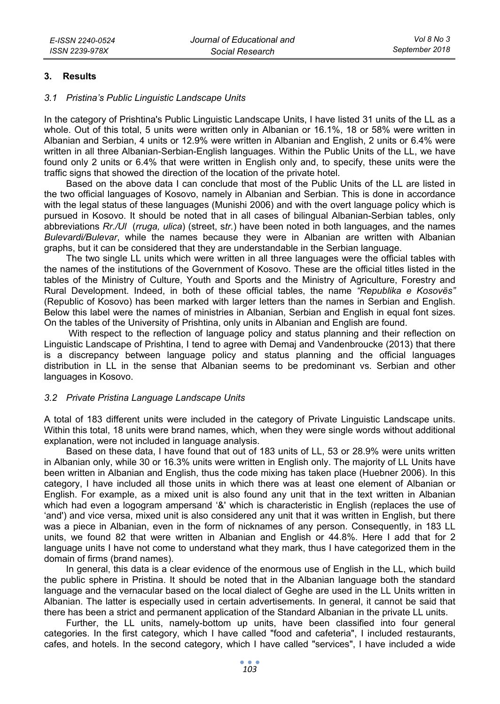#### **3. Results**

#### *3.1 Pristina's Public Linguistic Landscape Units*

In the category of Prishtina's Public Linguistic Landscape Units, I have listed 31 units of the LL as a whole. Out of this total, 5 units were written only in Albanian or 16.1%, 18 or 58% were written in Albanian and Serbian, 4 units or 12.9% were written in Albanian and English, 2 units or 6.4% were written in all three Albanian-Serbian-English languages. Within the Public Units of the LL, we have found only 2 units or 6.4% that were written in English only and, to specify, these units were the traffic signs that showed the direction of the location of the private hotel.

Based on the above data I can conclude that most of the Public Units of the LL are listed in the two official languages of Kosovo, namely in Albanian and Serbian. This is done in accordance with the legal status of these languages (Munishi 2006) and with the overt language policy which is pursued in Kosovo. It should be noted that in all cases of bilingual Albanian-Serbian tables, only abbreviations *Rr./Ul* (*rruga, ulica*) (street, s*tr.*) have been noted in both languages, and the names *Bulevardi/Bulevar*, while the names because they were in Albanian are written with Albanian graphs, but it can be considered that they are understandable in the Serbian language.

The two single LL units which were written in all three languages were the official tables with the names of the institutions of the Government of Kosovo. These are the official titles listed in the tables of the Ministry of Culture, Youth and Sports and the Ministry of Agriculture, Forestry and Rural Development. Indeed, in both of these official tables, the name *"Republika e Kosovës"* (Republic of Kosovo) has been marked with larger letters than the names in Serbian and English. Below this label were the names of ministries in Albanian, Serbian and English in equal font sizes. On the tables of the University of Prishtina, only units in Albanian and English are found.

 With respect to the reflection of language policy and status planning and their reflection on Linguistic Landscape of Prishtina, I tend to agree with Demaj and Vandenbroucke (2013) that there is a discrepancy between language policy and status planning and the official languages distribution in LL in the sense that Albanian seems to be predominant vs. Serbian and other languages in Kosovo.

#### *3.2 Private Pristina Language Landscape Units*

A total of 183 different units were included in the category of Private Linguistic Landscape units. Within this total, 18 units were brand names, which, when they were single words without additional explanation, were not included in language analysis.

Based on these data, I have found that out of 183 units of LL, 53 or 28.9% were units written in Albanian only, while 30 or 16.3% units were written in English only. The majority of LL Units have been written in Albanian and English, thus the code mixing has taken place (Huebner 2006). In this category, I have included all those units in which there was at least one element of Albanian or English. For example, as a mixed unit is also found any unit that in the text written in Albanian which had even a logogram ampersand '&' which is characteristic in English (replaces the use of 'and') and vice versa, mixed unit is also considered any unit that it was written in English, but there was a piece in Albanian, even in the form of nicknames of any person. Consequently, in 183 LL units, we found 82 that were written in Albanian and English or 44.8%. Here I add that for 2 language units I have not come to understand what they mark, thus I have categorized them in the domain of firms (brand names).

In general, this data is a clear evidence of the enormous use of English in the LL, which build the public sphere in Pristina. It should be noted that in the Albanian language both the standard language and the vernacular based on the local dialect of Geghe are used in the LL Units written in Albanian. The latter is especially used in certain advertisements. In general, it cannot be said that there has been a strict and permanent application of the Standard Albanian in the private LL units.

Further, the LL units, namely-bottom up units, have been classified into four general categories. In the first category, which I have called "food and cafeteria", I included restaurants, cafes, and hotels. In the second category, which I have called "services", I have included a wide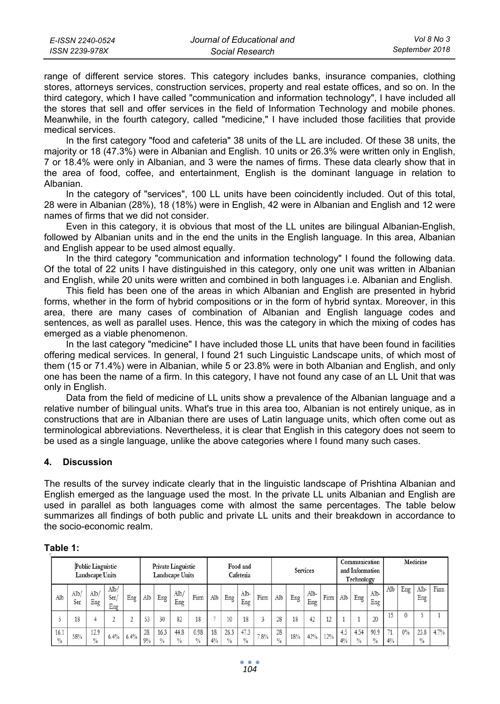range of different service stores. This category includes banks, insurance companies, clothing stores, attorneys services, construction services, property and real estate offices, and so on. In the third category, which I have called "communication and information technology", I have included all the stores that sell and offer services in the field of Information Technology and mobile phones. Meanwhile, in the fourth category, called "medicine," I have included those facilities that provide medical services.

In the first category "food and cafeteria" 38 units of the LL are included. Of these 38 units, the majority or 18 (47.3%) were in Albanian and English. 10 units or 26.3% were written only in English, 7 or 18.4% were only in Albanian, and 3 were the names of firms. These data clearly show that in the area of food, coffee, and entertainment, English is the dominant language in relation to Albanian.

In the category of "services", 100 LL units have been coincidently included. Out of this total, 28 were in Albanian (28%), 18 (18%) were in English, 42 were in Albanian and English and 12 were names of firms that we did not consider.

Even in this category, it is obvious that most of the LL unites are bilingual Albanian-English, followed by Albanian units and in the end the units in the English language. In this area, Albanian and English appear to be used almost equally.

In the third category "communication and information technology" I found the following data. Of the total of 22 units I have distinguished in this category, only one unit was written in Albanian and English, while 20 units were written and combined in both languages i.e. Albanian and English.

This field has been one of the areas in which Albanian and English are presented in hybrid forms, whether in the form of hybrid compositions or in the form of hybrid syntax. Moreover, in this area, there are many cases of combination of Albanian and English language codes and sentences, as well as parallel uses. Hence, this was the category in which the mixing of codes has emerged as a viable phenomenon.

In the last category "medicine" I have included those LL units that have been found in facilities offering medical services. In general, I found 21 such Linguistic Landscape units, of which most of them (15 or 71.4%) were in Albanian, while 5 or 23.8% were in both Albanian and English, and only one has been the name of a firm. In this category, I have not found any case of an LL Unit that was only in English.

Data from the field of medicine of LL units show a prevalence of the Albanian language and a relative number of bilingual units. What's true in this area too, Albanian is not entirely unique, as in constructions that are in Albanian there are uses of Latin language units, which often come out as terminological abbreviations. Nevertheless, it is clear that English in this category does not seem to be used as a single language, unlike the above categories where I found many such cases.

# **4. Discussion**

The results of the survey indicate clearly that in the linguistic landscape of Prishtina Albanian and English emerged as the language used the most. In the private LL units Albanian and English are used in parallel as both languages come with almost the same percentages. The table below summarizes all findings of both public and private LL units and their breakdown in accordance to the socio-economic realm.

| Table |  |  |
|-------|--|--|
|       |  |  |

|                       |            | <b>Public Linguistic</b><br><b>Landscape Units</b> |                     |      |           |                       | <b>Private Linguistic</b><br><b>Landscape Units</b> |                       |                          |                       | Food and<br>Cafeteria |      | <b>Services</b>     |     |             |      |           |                       |                       |          |     | Communication<br>and Information<br>Technology |      | Medicine |  |  |
|-----------------------|------------|----------------------------------------------------|---------------------|------|-----------|-----------------------|-----------------------------------------------------|-----------------------|--------------------------|-----------------------|-----------------------|------|---------------------|-----|-------------|------|-----------|-----------------------|-----------------------|----------|-----|------------------------------------------------|------|----------|--|--|
| Alb                   | Alb<br>Ser | Alb/<br>Eng                                        | Alb/<br>Ser/<br>Eng | Eng  | Alb       | Eng                   | Alb/<br>Eng                                         | Firm                  | Alb                      | Eng                   | Alb-<br>Eng           | Firm | Alb                 | Eng | Alb-<br>Eng | Firm | Alb       | Eng                   | Alb-<br>Eng           | Alb      | Eng | Alb-<br>Eng                                    | Firm |          |  |  |
|                       | 18         |                                                    |                     |      | 53        | 30                    | 82                                                  | 18                    | $\overline{\phantom{a}}$ | 10                    | 18                    |      | 28                  | 18  | 42          | 12   |           |                       | 20                    | 15       | 0   |                                                |      |          |  |  |
| 16.1<br>$\frac{0}{0}$ | 58%        | 12.9<br>$\frac{0}{0}$                              | 6.4%                | 6.4% | 28.<br>9% | 16.3<br>$\frac{0}{0}$ | 44.8<br>$\frac{0}{0}$                               | 0.98<br>$\frac{0}{0}$ | 18.<br>$4\%$             | 26.3<br>$\frac{0}{0}$ | 47.3<br>$\frac{0}{0}$ | 7.8% | 28<br>$\frac{0}{0}$ | 18% | 42%         | 12%  | 4.5<br>4% | 4.54<br>$\frac{0}{0}$ | 90.9<br>$\frac{0}{0}$ | 74<br>4% | 0%  | 23.8<br>$\frac{0}{0}$                          | 4.7% |          |  |  |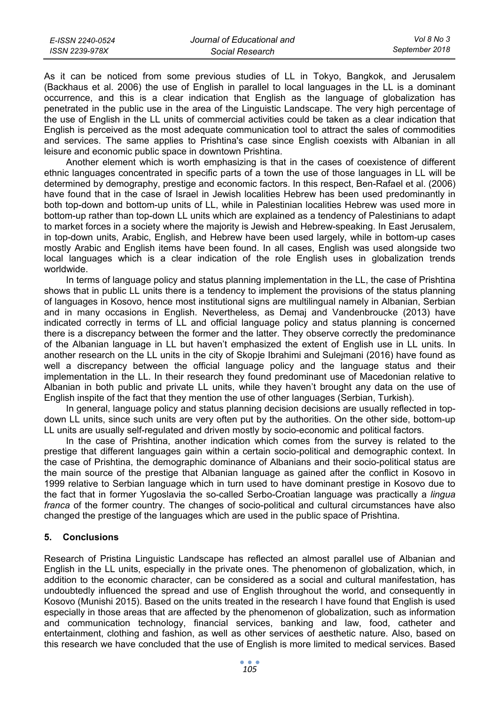| E-ISSN 2240-0524 | Journal of Educational and | Vol 8 No 3     |
|------------------|----------------------------|----------------|
| ISSN 2239-978X   | Social Research            | September 2018 |

As it can be noticed from some previous studies of LL in Tokyo, Bangkok, and Jerusalem (Backhaus et al. 2006) the use of English in parallel to local languages in the LL is a dominant occurrence, and this is a clear indication that English as the language of globalization has penetrated in the public use in the area of the Linguistic Landscape. The very high percentage of the use of English in the LL units of commercial activities could be taken as a clear indication that English is perceived as the most adequate communication tool to attract the sales of commodities and services. The same applies to Prishtina's case since English coexists with Albanian in all leisure and economic public space in downtown Prishtina.

Another element which is worth emphasizing is that in the cases of coexistence of different ethnic languages concentrated in specific parts of a town the use of those languages in LL will be determined by demography, prestige and economic factors. In this respect, Ben-Rafael et al. (2006) have found that in the case of Israel in Jewish localities Hebrew has been used predominantly in both top-down and bottom-up units of LL, while in Palestinian localities Hebrew was used more in bottom-up rather than top-down LL units which are explained as a tendency of Palestinians to adapt to market forces in a society where the majority is Jewish and Hebrew-speaking. In East Jerusalem, in top-down units, Arabic, English, and Hebrew have been used largely, while in bottom-up cases mostly Arabic and English items have been found. In all cases, English was used alongside two local languages which is a clear indication of the role English uses in globalization trends worldwide.

In terms of language policy and status planning implementation in the LL, the case of Prishtina shows that in public LL units there is a tendency to implement the provisions of the status planning of languages in Kosovo, hence most institutional signs are multilingual namely in Albanian, Serbian and in many occasions in English. Nevertheless, as Demaj and Vandenbroucke (2013) have indicated correctly in terms of LL and official language policy and status planning is concerned there is a discrepancy between the former and the latter. They observe correctly the predominance of the Albanian language in LL but haven't emphasized the extent of English use in LL units. In another research on the LL units in the city of Skopje Ibrahimi and Sulejmani (2016) have found as well a discrepancy between the official language policy and the language status and their implementation in the LL. In their research they found predominant use of Macedonian relative to Albanian in both public and private LL units, while they haven't brought any data on the use of English inspite of the fact that they mention the use of other languages (Serbian, Turkish).

In general, language policy and status planning decision decisions are usually reflected in topdown LL units, since such units are very often put by the authorities. On the other side, bottom-up LL units are usually self-regulated and driven mostly by socio-economic and political factors.

In the case of Prishtina, another indication which comes from the survey is related to the prestige that different languages gain within a certain socio-political and demographic context. In the case of Prishtina, the demographic dominance of Albanians and their socio-political status are the main source of the prestige that Albanian language as gained after the conflict in Kosovo in 1999 relative to Serbian language which in turn used to have dominant prestige in Kosovo due to the fact that in former Yugoslavia the so-called Serbo-Croatian language was practically a *lingua franca* of the former country. The changes of socio-political and cultural circumstances have also changed the prestige of the languages which are used in the public space of Prishtina.

## **5. Conclusions**

Research of Pristina Linguistic Landscape has reflected an almost parallel use of Albanian and English in the LL units, especially in the private ones. The phenomenon of globalization, which, in addition to the economic character, can be considered as a social and cultural manifestation, has undoubtedly influenced the spread and use of English throughout the world, and consequently in Kosovo (Munishi 2015). Based on the units treated in the research I have found that English is used especially in those areas that are affected by the phenomenon of globalization, such as information and communication technology, financial services, banking and law, food, catheter and entertainment, clothing and fashion, as well as other services of aesthetic nature. Also, based on this research we have concluded that the use of English is more limited to medical services. Based